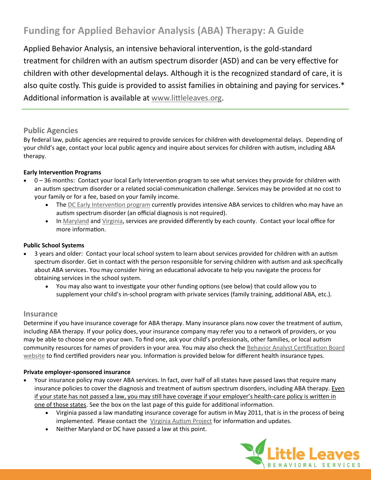# **Funding for Applied Behavior Analysis (ABA) Therapy: A Guide**

Applied Behavior Analysis, an intensive behavioral intervention, is the gold-standard treatment for children with an autism spectrum disorder (ASD) and can be very effective for children with other developmental delays. Although it is the recognized standard of care, it is also quite costly. This guide is provided to assist families in obtaining and paying for services.\* Additional information is available at [www.littleleaves.org.](http://www.littleleaves.org)

## **Public Agencies**

By federal law, public agencies are required to provide services for children with developmental delays. Depending of your child's age, contact your local public agency and inquire about services for children with autism, including ABA therapy.

## **Early Intervention Programs**

- 0 36 months: Contact your local Early Intervention program to see what services they provide for children with an autism spectrum disorder or a related social-communication challenge. Services may be provided at no cost to your family or for a fee, based on your family income.
	- The [DC Early Intervention program](http://osse.dc.gov/service/dc-early-intervention-program) currently provides intensive ABA services to children who may have an autism spectrum disorder (an official diagnosis is not required).
	- In [Maryland](http://www.marylandpublicschools.org/MSDE/divisions/earlyinterv/infant_toddlers/) and [Virginia,](http://infantva.org/Families.htm) services are provided differently by each county. Contact your local office for more information.

## **Public School Systems**

- 3 years and older: Contact your local school system to learn about services provided for children with an autism spectrum disorder. Get in contact with the person responsible for serving children with autism and ask specifically about ABA services. You may consider hiring an educational advocate to help you navigate the process for obtaining services in the school system.
	- You may also want to investigate your other funding options (see below) that could allow you to supplement your child's in-school program with private services (family training, additional ABA, etc.).

## **Insurance**

Determine if you have insurance coverage for ABA therapy. Many insurance plans now cover the treatment of autism, including ABA therapy. If your policy does, your insurance company may refer you to a network of providers, or you may be able to choose one on your own. To find one, ask your child's professionals, other families, or local autism community resources for names of providers in your area. You may also check the [Behavior Analyst Certification Board](http://www.bacb.com/)  [website](http://www.bacb.com/) to find certified providers near you. Information is provided below for different health insurance types.

#### **Private employer-sponsored insurance**

- Your insurance policy may cover ABA services. In fact, over half of all states have passed laws that require many insurance policies to cover the diagnosis and treatment of autism spectrum disorders, including ABA therapy. Even if your state has not passed a law, you may still have coverage if your employer's health-care policy is written in one of those states. See the box on the last page of this guide for additional information.
	- Virginia passed a law mandating insurance coverage for autism in May 2011, that is in the process of being implemented. Please contact the [Virginia Autism Project](http://virginiaautismproject.com/) for information and updates.
	- Neither Maryland or DC have passed a law at this point.

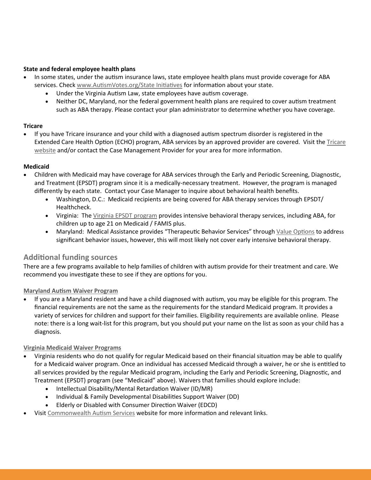### **State and federal employee health plans**

- In some states, under the autism insurance laws, state employee health plans must provide coverage for ABA services. Check [www.AutismVotes.org/State Initiatives](http://www.autismvotes.org/site/c.frKNI3PCImE/b.3909861/k.B9DF/State_Initiatives.htm) for information about your state.
	- Under the Virginia Autism Law, state employees have autism coverage.
	- Neither DC, Maryland, nor the federal government health plans are required to cover autism treatment such as ABA therapy. Please contact your plan administrator to determine whether you have coverage.

### **Tricare**

 If you have Tricare insurance and your child with a diagnosed autism spectrum disorder is registered in the Extended Care Health Option (ECHO) program, ABA services by an approved provider are covered. Visit the [Tricare](http://www.tricare.mil/mybenefit/ProfileFilter.do;jsessionid=Tv7Yp3Z2F1SDnP0drMNwgpL3GGG06z2cqbRMYW54bJMDnrCDs57m!-1295704037?puri=%2Fhome%2Foverview%2FSpecialPrograms%2FECHO%2FAutismServicesDemonstration)  [website](http://www.tricare.mil/mybenefit/ProfileFilter.do;jsessionid=Tv7Yp3Z2F1SDnP0drMNwgpL3GGG06z2cqbRMYW54bJMDnrCDs57m!-1295704037?puri=%2Fhome%2Foverview%2FSpecialPrograms%2FECHO%2FAutismServicesDemonstration) and/or contact the Case Management Provider for your area for more information.

## **Medicaid**

- Children with Medicaid may have coverage for ABA services through the Early and Periodic Screening, Diagnostic, and Treatment (EPSDT) program since it is a medically-necessary treatment. However, the program is managed differently by each state. Contact your Case Manager to inquire about behavioral health benefits.
	- Washington, D.C.: Medicaid recipients are being covered for ABA therapy services through EPSDT/ Healthcheck.
	- Virginia: The [Virginia EPSDT program](http://dmasva.dmas.virginia.gov/Content_pgs/mch-home.aspx) provides intensive behavioral therapy services, including ABA, for children up to age 21 on Medicaid / FAMIS plus.
	- Maryland: Medical Assistance provides "Therapeutic Behavior Services" through [Value Options](http://maryland.valueoptions.com/) to address significant behavior issues, however, this will most likely not cover early intensive behavioral therapy.

## **Additional funding sources**

There are a few programs available to help families of children with autism provide for their treatment and care. We recommend you investigate these to see if they are options for you.

## **[Maryland Autism Waiver Program](http://dhmh.state.md.us/mma/waiverprograms/pdf/2011/AutismWaiverFactSheet-08.pdf)**

 If you are a Maryland resident and have a child diagnosed with autism, you may be eligible for this program. The financial requirements are not the same as the requirements for the standard Medicaid program. It provides a variety of services for children and support for their families. Eligibility requirements are available online. Please note: there is a long wait-list for this program, but you should put your name on the list as soon as your child has a diagnosis.

## **[Virginia Medicaid Waiver Programs](http://www.dmas.virginia.gov/downloads/pdfs/ab-ltc_medicaid_waiver.pdf)**

- Virginia residents who do not qualify for regular Medicaid based on their financial situation may be able to qualify for a Medicaid waiver program. Once an individual has accessed Medicaid through a waiver, he or she is entitled to all services provided by the regular Medicaid program, including the Early and Periodic Screening, Diagnostic, and Treatment (EPSDT) program (see "Medicaid" above). Waivers that families should explore include:
	- Intellectual Disability/Mental Retardation Waiver (ID/MR)
	- Individual & Family Developmental Disabilities Support Waiver (DD)
	- Elderly or Disabled with Consumer Direction Waiver (EDCD)
- Visit [Commonwealth Autism Services](http://www.autismva.org/resources/fundingsources) website for more information and relevant links.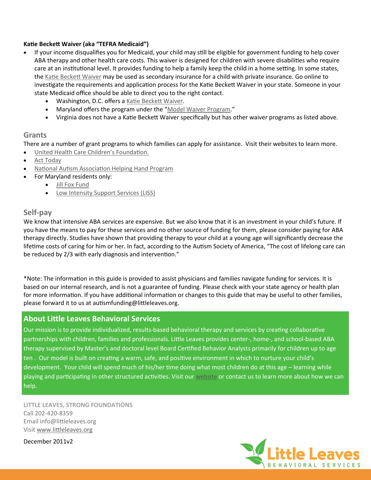#### **Katie Beckett Waiver (aka "TEFRA Medicaid")**

- If your income disqualifies you for Medicaid, your child may still be eligible for government funding to help cover ABA therapy and other health care costs. This waiver is designed for children with severe disabilities who require care at an institutional level. It provides funding to help a family keep the child in a home setting. In some states, the [Katie Beckett Waiver](http://www.online-health-insurance.com/health-insurance-resources/part4/page151.php) may be used as secondary insurance for a child with private insurance. Go online to investigate the requirements and application process for the Katie Beckett Waiver in your state. Someone in your state Medicaid office should be able to direct you to the right contact.
	- Washington, D.C. offers a [Katie Beckett Waiver.](http://www.healthcareombudsman.dc.gov/ombudsman/cwp/view,a,1277,q,464012,ombudsmanNav_GID,1506,.asp)
	- Maryland offers the program under the ["Model Waiver Program.](http://dhmh.state.md.us/mma/waiverprograms/html/ModelWaiver%20-%20information.htm)"
	- Virginia does not have a Katie Beckett Waiver specifically but has other waiver programs as listed above.

## **Grants**

There are a number of grant programs to which families can apply for assistance. Visit their websites to learn more.

- [United Health Care Children's Foundation.](http://www.uhccf.org/index.html)
- [Act Today](http://www.act-today.org)
- [National Autism Association Helping Hand Program](http://www.nationalautismassociation.org/helpinghand.php)
- For Maryland residents only:
	- [Jill Fox Fund](http://jillfoxfund.org/)
	- [Low Intensity Support Services \(LISS\)](http://www.marylandcommunityconnection.org/index.php/low-intensity-support-services-liss/)

## **Self-pay**

We know that intensive ABA services are expensive. But we also know that it is an investment in your child's future. If you have the means to pay for these services and no other source of funding for them, please consider paying for ABA therapy directly. Studies have shown that providing therapy to your child at a young age will significantly decrease the lifetime costs of caring for him or her. In fact, according to the Autism Society of America, "The cost of lifelong care can be reduced by 2/3 with early diagnosis and intervention."

\*Note: The information in this guide is provided to assist physicians and families navigate funding for services. It is based on our internal research, and is not a guarantee of funding. Please check with your state agency or health plan for more information. If you have additional information or changes to this guide that may be useful to other families, please forward it to us at autismfunding@littleleaves.org.

# **About Little Leaves Behavioral Services**

Our mission is to provide individualized, results-based behavioral therapy and services by creating collaborative partnerships with children, families and professionals. Little Leaves provides center-, home-, and school-based ABA therapy supervised by Master's and doctoral level Board Certified Behavior Analysts primarily for children up to age ten . Our model is built on creating a warm, safe, and positive environment in which to nurture your child's development. Your child will spend much of his/her time doing what most children do at this age – learning while playing and participating in other structured activities. Visit our [website](http://www.littleleaves.org) or contact us to learn more about how we can help[.](http://www.littleleaves.org)

**LITTLE LEAVES, STRONG FOUNDATIONS** Call 202-420-8359 Email info@littleleaves.org Visit [www.littleleaves.org](http://www.littleleaves.org)

December 2011v2